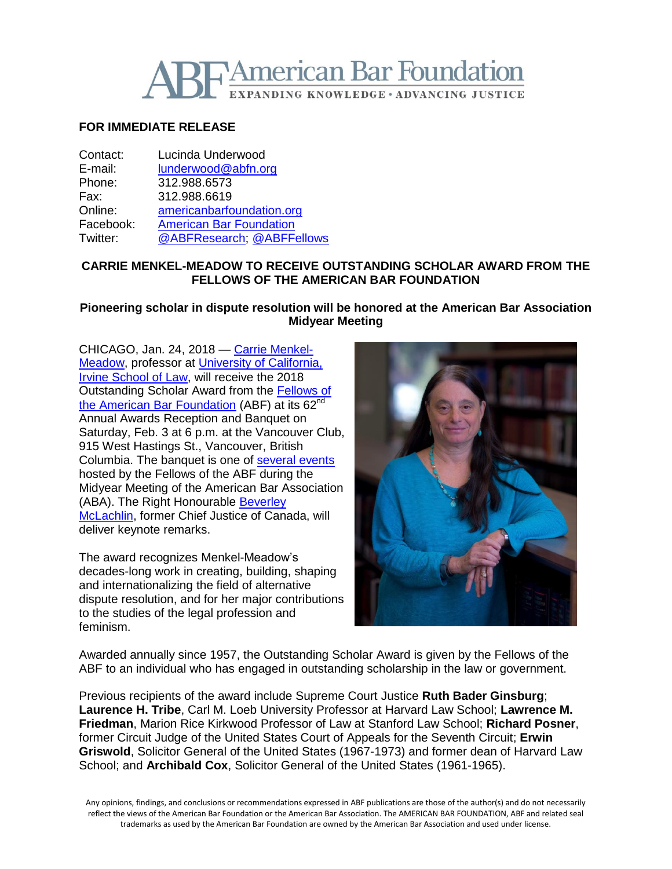

# **FOR IMMEDIATE RELEASE**

| Contact:  | Lucinda Underwood              |
|-----------|--------------------------------|
| E-mail:   | lunderwood@abfn.org            |
| Phone:    | 312.988.6573                   |
| Fax:      | 312.988.6619                   |
| Online:   | americanbarfoundation.org      |
| Facebook: | <b>American Bar Foundation</b> |
| Twitter:  | @ABFResearch, @ABFFellows      |

## **CARRIE MENKEL-MEADOW TO RECEIVE OUTSTANDING SCHOLAR AWARD FROM THE FELLOWS OF THE AMERICAN BAR FOUNDATION**

**Pioneering scholar in dispute resolution will be honored at the American Bar Association Midyear Meeting**

CHICAGO, Jan. 24, 2018 — [Carrie Menkel-](http://www.law.uci.edu/faculty/full-time/menkel-meadow/)[Meadow,](http://www.law.uci.edu/faculty/full-time/menkel-meadow/) professor at [University of California,](http://www.law.uci.edu/)  [Irvine School of Law,](http://www.law.uci.edu/) will receive the 2018 Outstanding Scholar Award from the [Fellows of](http://www.americanbarfoundation.org/fellows/index.html)  [the American Bar Foundation](http://www.americanbarfoundation.org/fellows/index.html) (ABF) at its 62<sup>nd</sup> Annual Awards Reception and Banquet on Saturday, Feb. 3 at 6 p.m. at the Vancouver Club, 915 West Hastings St., Vancouver, British Columbia. The banquet is one of [several events](http://www.americanbarfoundation.org/fellows/events/1696) hosted by the Fellows of the ABF during the Midyear Meeting of the American Bar Association (ABA). The Right Honourable [Beverley](https://www.scc-csc.ca/judges-juges/bio-eng.aspx?id=beverley-mclachlin)  [McLachlin,](https://www.scc-csc.ca/judges-juges/bio-eng.aspx?id=beverley-mclachlin) former Chief Justice of Canada, will deliver keynote remarks.

The award recognizes Menkel-Meadow's decades-long work in creating, building, shaping and internationalizing the field of alternative dispute resolution, and for her major contributions to the studies of the legal profession and feminism.



Awarded annually since 1957, the Outstanding Scholar Award is given by the Fellows of the ABF to an individual who has engaged in outstanding scholarship in the law or government.

Previous recipients of the award include Supreme Court Justice **Ruth Bader Ginsburg**; **Laurence H. Tribe**, Carl M. Loeb University Professor at Harvard Law School; **Lawrence M. Friedman**, Marion Rice Kirkwood Professor of Law at Stanford Law School; **Richard Posner**, former Circuit Judge of the United States Court of Appeals for the Seventh Circuit; **Erwin Griswold**, Solicitor General of the United States (1967-1973) and former dean of Harvard Law School; and **Archibald Cox**, Solicitor General of the United States (1961-1965).

Any opinions, findings, and conclusions or recommendations expressed in ABF publications are those of the author(s) and do not necessarily reflect the views of the American Bar Foundation or the American Bar Association. The AMERICAN BAR FOUNDATION, ABF and related seal trademarks as used by the American Bar Foundation are owned by the American Bar Association and used under license.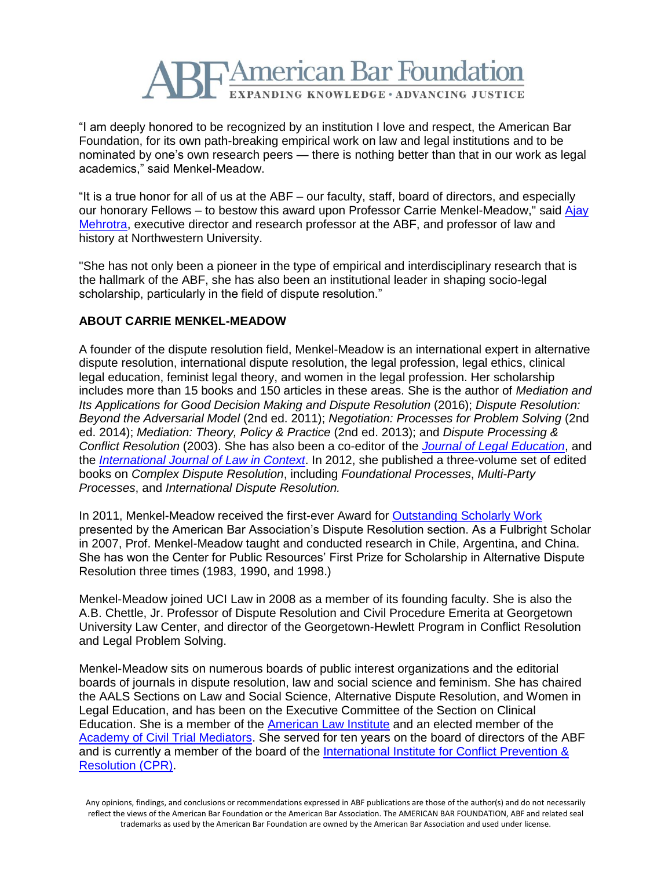

"I am deeply honored to be recognized by an institution I love and respect, the American Bar Foundation, for its own path-breaking empirical work on law and legal institutions and to be nominated by one's own research peers — there is nothing better than that in our work as legal academics," said Menkel-Meadow.

"It is a true honor for all of us at the ABF – our faculty, staff, board of directors, and especially our honorary Fellows – to bestow this award upon Professor Carrie Menkel-Meadow," said Ajay [Mehrotra,](http://www.americanbarfoundation.org/faculty/profile/46) executive director and research professor at the ABF, and professor of law and history at Northwestern University.

"She has not only been a pioneer in the type of empirical and interdisciplinary research that is the hallmark of the ABF, she has also been an institutional leader in shaping socio-legal scholarship, particularly in the field of dispute resolution."

## **ABOUT CARRIE MENKEL-MEADOW**

A founder of the dispute resolution field, Menkel-Meadow is an international expert in alternative dispute resolution, international dispute resolution, the legal profession, legal ethics, clinical legal education, feminist legal theory, and women in the legal profession. Her scholarship includes more than 15 books and 150 articles in these areas. She is the author of *Mediation and Its Applications for Good Decision Making and Dispute Resolution* (2016); *Dispute Resolution: Beyond the Adversarial Model* (2nd ed. 2011); *Negotiation: Processes for Problem Solving* (2nd ed. 2014); *Mediation: Theory, Policy & Practice* (2nd ed. 2013); and *Dispute Processing & Conflict Resolution* (2003). She has also been a co-editor of the *[Journal of Legal Education](https://jle.aals.org/home/about.html)*, and the *[International Journal of Law in Context](https://www.cambridge.org/core/journals/international-journal-of-law-in-context)*. In 2012, she published a three-volume set of edited books on *Complex Dispute Resolution*, including *Foundational Processes*, *Multi-Party Processes*, and *International Dispute Resolution.*

In 2011, Menkel-Meadow received the first-ever Award for [Outstanding Scholarly Work](https://www.americanbar.org/content/dam/aba/migrated/dispute/docs/abadr_awardforoutstandingwork_2011.authcheckdam.pdf) presented by the American Bar Association's Dispute Resolution section. As a Fulbright Scholar in 2007, Prof. Menkel-Meadow taught and conducted research in Chile, Argentina, and China. She has won the Center for Public Resources' First Prize for Scholarship in Alternative Dispute Resolution three times (1983, 1990, and 1998.)

Menkel-Meadow joined UCI Law in 2008 as a member of its founding faculty. She is also the A.B. Chettle, Jr. Professor of Dispute Resolution and Civil Procedure Emerita at Georgetown University Law Center, and director of the Georgetown-Hewlett Program in Conflict Resolution and Legal Problem Solving.

Menkel-Meadow sits on numerous boards of public interest organizations and the editorial boards of journals in dispute resolution, law and social science and feminism. She has chaired the AALS Sections on Law and Social Science, Alternative Dispute Resolution, and Women in Legal Education, and has been on the Executive Committee of the Section on Clinical Education. She is a member of the [American Law Institute](https://www.ali.org/) and an elected member of the [Academy of Civil Trial Mediators.](http://www.acctm.org/) She served for ten years on the board of directors of the ABF and is currently a member of the board of the [International Institute for Conflict Prevention &](https://www.cpradr.org/) [Resolution \(CPR\).](https://www.cpradr.org/)

Any opinions, findings, and conclusions or recommendations expressed in ABF publications are those of the author(s) and do not necessarily reflect the views of the American Bar Foundation or the American Bar Association. The AMERICAN BAR FOUNDATION, ABF and related seal trademarks as used by the American Bar Foundation are owned by the American Bar Association and used under license.